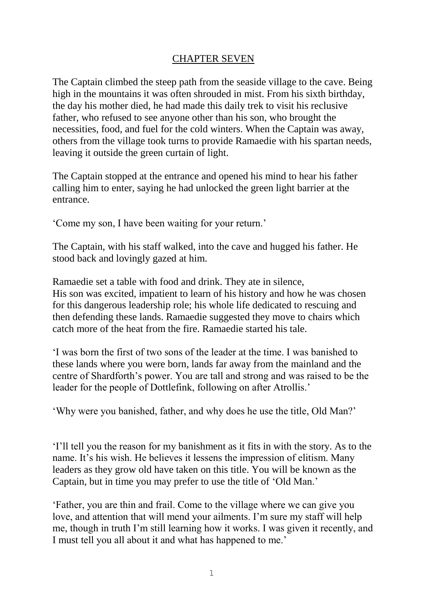## CHAPTER SEVEN

The Captain climbed the steep path from the seaside village to the cave. Being high in the mountains it was often shrouded in mist. From his sixth birthday, the day his mother died, he had made this daily trek to visit his reclusive father, who refused to see anyone other than his son, who brought the necessities, food, and fuel for the cold winters. When the Captain was away, others from the village took turns to provide Ramaedie with his spartan needs, leaving it outside the green curtain of light.

The Captain stopped at the entrance and opened his mind to hear his father calling him to enter, saying he had unlocked the green light barrier at the entrance.

'Come my son, I have been waiting for your return.'

The Captain, with his staff walked, into the cave and hugged his father. He stood back and lovingly gazed at him.

Ramaedie set a table with food and drink. They ate in silence, His son was excited, impatient to learn of his history and how he was chosen for this dangerous leadership role; his whole life dedicated to rescuing and then defending these lands. Ramaedie suggested they move to chairs which catch more of the heat from the fire. Ramaedie started his tale.

'I was born the first of two sons of the leader at the time. I was banished to these lands where you were born, lands far away from the mainland and the centre of Shardforth's power. You are tall and strong and was raised to be the leader for the people of Dottlefink, following on after Atrollis.'

'Why were you banished, father, and why does he use the title, Old Man?'

'I'll tell you the reason for my banishment as it fits in with the story. As to the name. It's his wish. He believes it lessens the impression of elitism. Many leaders as they grow old have taken on this title. You will be known as the Captain, but in time you may prefer to use the title of 'Old Man.'

'Father, you are thin and frail. Come to the village where we can give you love, and attention that will mend your ailments. I'm sure my staff will help me, though in truth I'm still learning how it works. I was given it recently, and I must tell you all about it and what has happened to me.'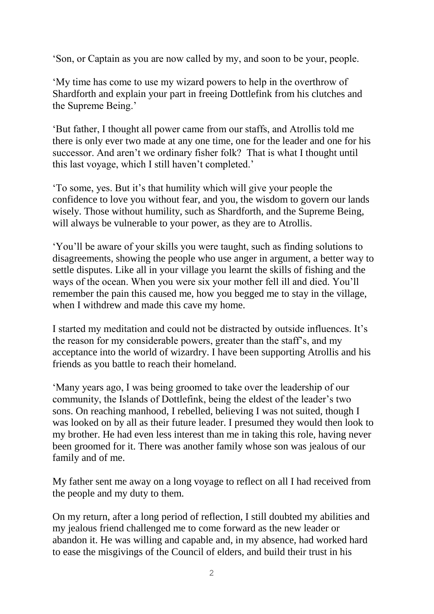'Son, or Captain as you are now called by my, and soon to be your, people.

'My time has come to use my wizard powers to help in the overthrow of Shardforth and explain your part in freeing Dottlefink from his clutches and the Supreme Being.'

'But father, I thought all power came from our staffs, and Atrollis told me there is only ever two made at any one time, one for the leader and one for his successor. And aren't we ordinary fisher folk? That is what I thought until this last voyage, which I still haven't completed.'

'To some, yes. But it's that humility which will give your people the confidence to love you without fear, and you, the wisdom to govern our lands wisely. Those without humility, such as Shardforth, and the Supreme Being, will always be vulnerable to your power, as they are to Atrollis.

'You'll be aware of your skills you were taught, such as finding solutions to disagreements, showing the people who use anger in argument, a better way to settle disputes. Like all in your village you learnt the skills of fishing and the ways of the ocean. When you were six your mother fell ill and died. You'll remember the pain this caused me, how you begged me to stay in the village, when I withdrew and made this cave my home.

I started my meditation and could not be distracted by outside influences. It's the reason for my considerable powers, greater than the staff's, and my acceptance into the world of wizardry. I have been supporting Atrollis and his friends as you battle to reach their homeland.

'Many years ago, I was being groomed to take over the leadership of our community, the Islands of Dottlefink, being the eldest of the leader's two sons. On reaching manhood, I rebelled, believing I was not suited, though I was looked on by all as their future leader. I presumed they would then look to my brother. He had even less interest than me in taking this role, having never been groomed for it. There was another family whose son was jealous of our family and of me.

My father sent me away on a long voyage to reflect on all I had received from the people and my duty to them.

On my return, after a long period of reflection, I still doubted my abilities and my jealous friend challenged me to come forward as the new leader or abandon it. He was willing and capable and, in my absence, had worked hard to ease the misgivings of the Council of elders, and build their trust in his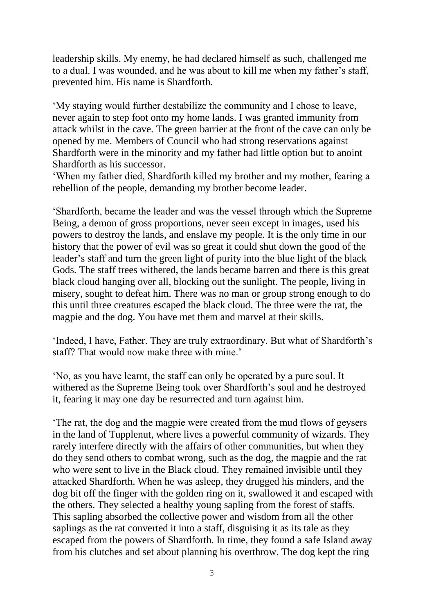leadership skills. My enemy, he had declared himself as such, challenged me to a dual. I was wounded, and he was about to kill me when my father's staff, prevented him. His name is Shardforth.

'My staying would further destabilize the community and I chose to leave, never again to step foot onto my home lands. I was granted immunity from attack whilst in the cave. The green barrier at the front of the cave can only be opened by me. Members of Council who had strong reservations against Shardforth were in the minority and my father had little option but to anoint Shardforth as his successor.

'When my father died, Shardforth killed my brother and my mother, fearing a rebellion of the people, demanding my brother become leader.

'Shardforth, became the leader and was the vessel through which the Supreme Being, a demon of gross proportions, never seen except in images, used his powers to destroy the lands, and enslave my people. It is the only time in our history that the power of evil was so great it could shut down the good of the leader's staff and turn the green light of purity into the blue light of the black Gods. The staff trees withered, the lands became barren and there is this great black cloud hanging over all, blocking out the sunlight. The people, living in misery, sought to defeat him. There was no man or group strong enough to do this until three creatures escaped the black cloud. The three were the rat, the magpie and the dog. You have met them and marvel at their skills.

'Indeed, I have, Father. They are truly extraordinary. But what of Shardforth's staff? That would now make three with mine.'

'No, as you have learnt, the staff can only be operated by a pure soul. It withered as the Supreme Being took over Shardforth's soul and he destroyed it, fearing it may one day be resurrected and turn against him.

'The rat, the dog and the magpie were created from the mud flows of geysers in the land of Tupplenut, where lives a powerful community of wizards. They rarely interfere directly with the affairs of other communities, but when they do they send others to combat wrong, such as the dog, the magpie and the rat who were sent to live in the Black cloud. They remained invisible until they attacked Shardforth. When he was asleep, they drugged his minders, and the dog bit off the finger with the golden ring on it, swallowed it and escaped with the others. They selected a healthy young sapling from the forest of staffs. This sapling absorbed the collective power and wisdom from all the other saplings as the rat converted it into a staff, disguising it as its tale as they escaped from the powers of Shardforth. In time, they found a safe Island away from his clutches and set about planning his overthrow. The dog kept the ring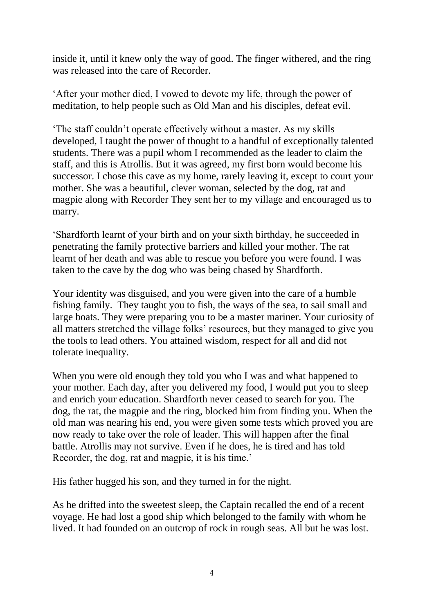inside it, until it knew only the way of good. The finger withered, and the ring was released into the care of Recorder.

'After your mother died, I vowed to devote my life, through the power of meditation, to help people such as Old Man and his disciples, defeat evil.

'The staff couldn't operate effectively without a master. As my skills developed, I taught the power of thought to a handful of exceptionally talented students. There was a pupil whom I recommended as the leader to claim the staff, and this is Atrollis. But it was agreed, my first born would become his successor. I chose this cave as my home, rarely leaving it, except to court your mother. She was a beautiful, clever woman, selected by the dog, rat and magpie along with Recorder They sent her to my village and encouraged us to marry.

'Shardforth learnt of your birth and on your sixth birthday, he succeeded in penetrating the family protective barriers and killed your mother. The rat learnt of her death and was able to rescue you before you were found. I was taken to the cave by the dog who was being chased by Shardforth.

Your identity was disguised, and you were given into the care of a humble fishing family. They taught you to fish, the ways of the sea, to sail small and large boats. They were preparing you to be a master mariner. Your curiosity of all matters stretched the village folks' resources, but they managed to give you the tools to lead others. You attained wisdom, respect for all and did not tolerate inequality.

When you were old enough they told you who I was and what happened to your mother. Each day, after you delivered my food, I would put you to sleep and enrich your education. Shardforth never ceased to search for you. The dog, the rat, the magpie and the ring, blocked him from finding you. When the old man was nearing his end, you were given some tests which proved you are now ready to take over the role of leader. This will happen after the final battle. Atrollis may not survive. Even if he does, he is tired and has told Recorder, the dog, rat and magpie, it is his time.'

His father hugged his son, and they turned in for the night.

As he drifted into the sweetest sleep, the Captain recalled the end of a recent voyage. He had lost a good ship which belonged to the family with whom he lived. It had founded on an outcrop of rock in rough seas. All but he was lost.